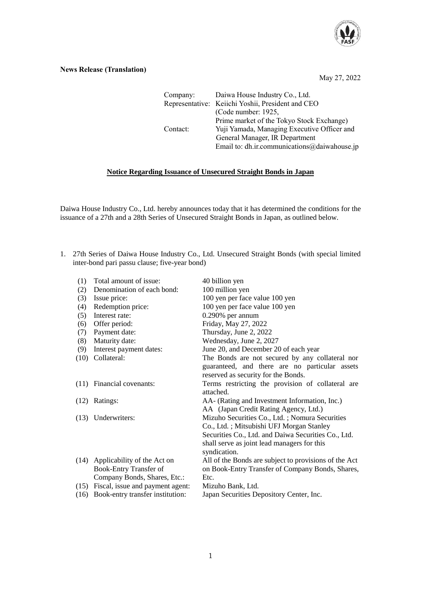

## **News Release (Translation)**

May 27, 2022

Company: Daiwa House Industry Co., Ltd. Representative: Keiichi Yoshii, President and CEO (Code number: 1925, Prime market of the Tokyo Stock Exchange) Contact: Yuji Yamada, Managing Executive Officer and General Manager, IR Department Email to: dh.ir.communications@daiwahouse.jp

## **Notice Regarding Issuance of Unsecured Straight Bonds in Japan**

Daiwa House Industry Co., Ltd. hereby announces today that it has determined the conditions for the issuance of a 27th and a 28th Series of Unsecured Straight Bonds in Japan, as outlined below.

1. 27th Series of Daiwa House Industry Co., Ltd. Unsecured Straight Bonds (with special limited inter-bond pari passu clause; five-year bond)

| (1)  | Total amount of issue:           | 40 billion yen                                        |
|------|----------------------------------|-------------------------------------------------------|
| (2)  | Denomination of each bond:       | 100 million yen                                       |
| (3)  | Issue price:                     | 100 yen per face value 100 yen                        |
| (4)  | Redemption price:                | 100 yen per face value 100 yen                        |
| (5)  | Interest rate:                   | $0.290\%$ per annum                                   |
| (6)  | Offer period:                    | Friday, May 27, 2022                                  |
| (7)  | Payment date:                    | Thursday, June 2, 2022                                |
| (8)  | Maturity date:                   | Wednesday, June 2, 2027                               |
| (9)  | Interest payment dates:          | June 20, and December 20 of each year                 |
| (10) | Collateral:                      | The Bonds are not secured by any collateral nor       |
|      |                                  | guaranteed, and there are no particular assets        |
|      |                                  | reserved as security for the Bonds.                   |
| (11) | Financial covenants:             | Terms restricting the provision of collateral are     |
|      |                                  | attached.                                             |
| (12) | Ratings:                         | AA- (Rating and Investment Information, Inc.)         |
|      |                                  | AA (Japan Credit Rating Agency, Ltd.)                 |
| (13) | Underwriters:                    | Mizuho Securities Co., Ltd.; Nomura Securities        |
|      |                                  | Co., Ltd.; Mitsubishi UFJ Morgan Stanley              |
|      |                                  | Securities Co., Ltd. and Daiwa Securities Co., Ltd.   |
|      |                                  | shall serve as joint lead managers for this           |
|      |                                  | syndication.                                          |
|      | (14) Applicability of the Act on | All of the Bonds are subject to provisions of the Act |
|      | Book-Entry Transfer of           | on Book-Entry Transfer of Company Bonds, Shares,      |
|      | Company Bonds, Shares, Etc.:     | Etc.                                                  |
| (15) | Fiscal, issue and payment agent: | Mizuho Bank, Ltd.                                     |
| (16) | Book-entry transfer institution: | Japan Securities Depository Center, Inc.              |